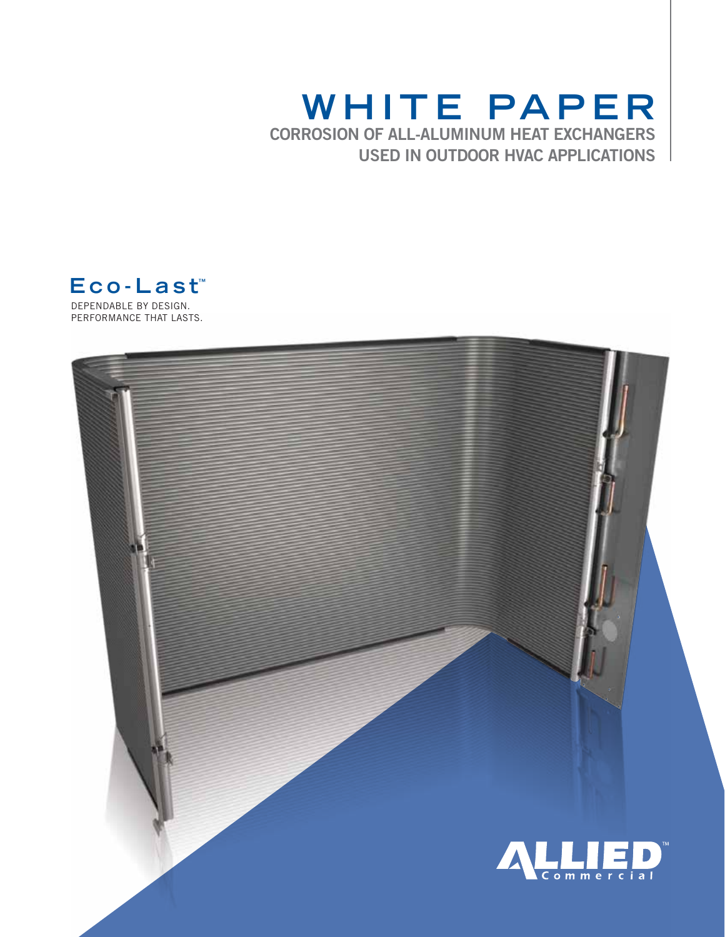# **Whit e Pa pe r** CORROSION OF ALL-ALUMINUM HEAT EXCHANGERS USED IN OUTDOOR HVAC APPLICATIONS

dependable by design. **E co-Last™**

PERFORMANCE THAT LASTS.

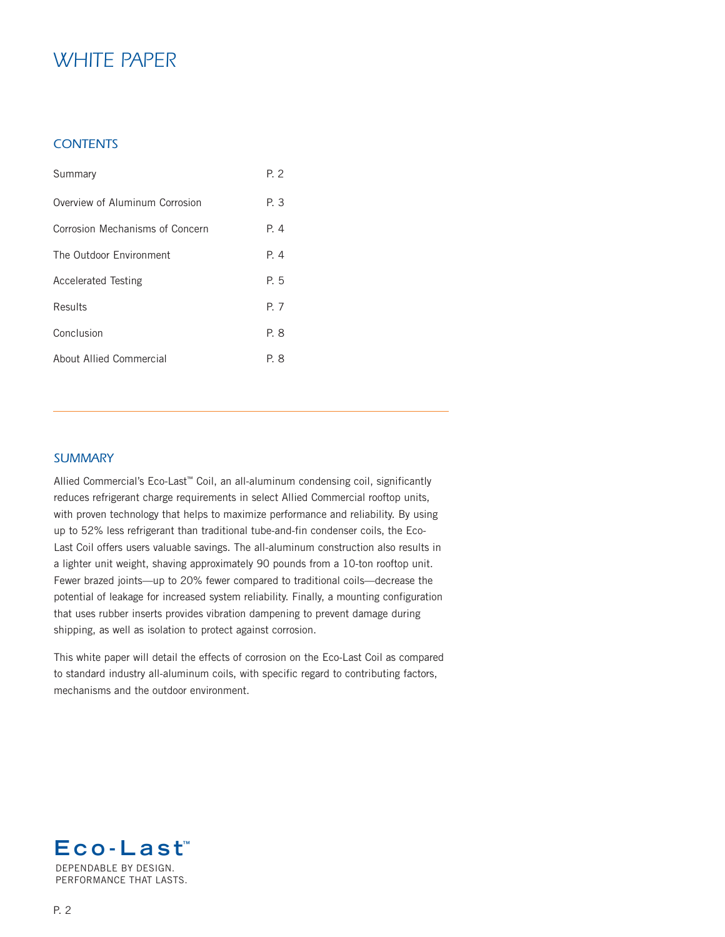# *White Paper*

## *contents*

| Summary                         | P. 2  |
|---------------------------------|-------|
| Overview of Aluminum Corrosion  | P. 3  |
| Corrosion Mechanisms of Concern | $P_4$ |
| The Outdoor Environment         | $P_4$ |
| <b>Accelerated Testing</b>      | P. 5  |
| Results                         | P. 7  |
| Conclusion                      | P. 8  |
| About Allied Commercial         | P. 8  |

## *Summary*

Allied Commercial's Eco-Last™ Coil, an all-aluminum condensing coil, significantly reduces refrigerant charge requirements in select Allied Commercial rooftop units, with proven technology that helps to maximize performance and reliability. By using up to 52% less refrigerant than traditional tube-and-fin condenser coils, the Eco-Last Coil offers users valuable savings. The all-aluminum construction also results in a lighter unit weight, shaving approximately 90 pounds from a 10-ton rooftop unit. Fewer brazed joints—up to 20% fewer compared to traditional coils—decrease the potential of leakage for increased system reliability. Finally, a mounting configuration that uses rubber inserts provides vibration dampening to prevent damage during shipping, as well as isolation to protect against corrosion.

This white paper will detail the effects of corrosion on the Eco-Last Coil as compared to standard industry all-aluminum coils, with specific regard to contributing factors, mechanisms and the outdoor environment.

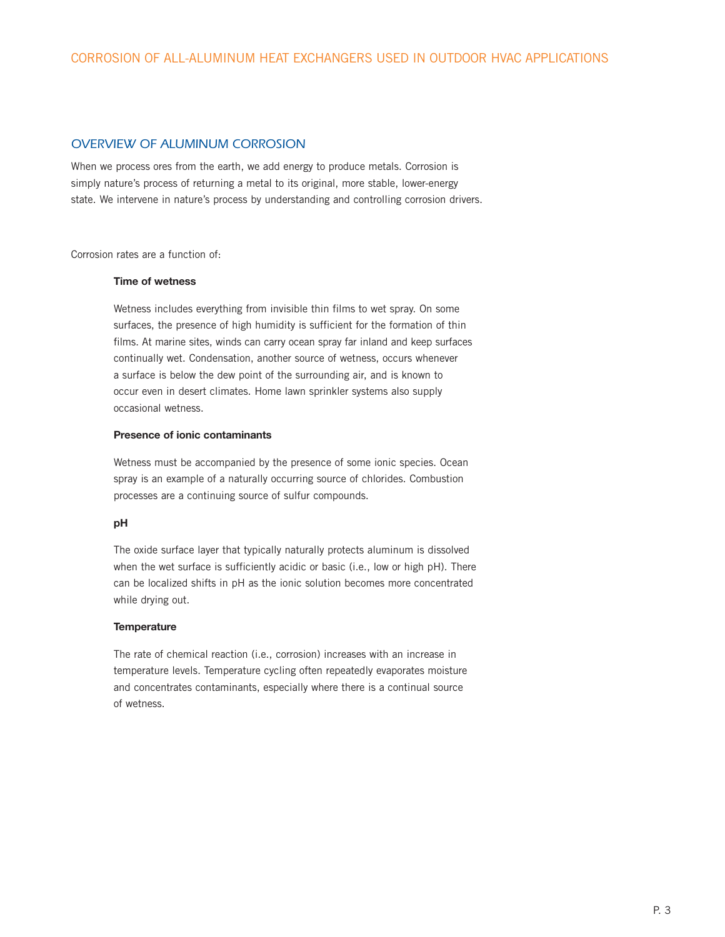### *Overview of Aluminum Corrosion*

When we process ores from the earth, we add energy to produce metals. Corrosion is simply nature's process of returning a metal to its original, more stable, lower-energy state. We intervene in nature's process by understanding and controlling corrosion drivers.

Corrosion rates are a function of:

#### Time of wetness

 Wetness includes everything from invisible thin films to wet spray. On some surfaces, the presence of high humidity is sufficient for the formation of thin films. At marine sites, winds can carry ocean spray far inland and keep surfaces continually wet. Condensation, another source of wetness, occurs whenever a surface is below the dew point of the surrounding air, and is known to occur even in desert climates. Home lawn sprinkler systems also supply occasional wetness.

#### Presence of ionic contaminants

Wetness must be accompanied by the presence of some ionic species. Ocean spray is an example of a naturally occurring source of chlorides. Combustion processes are a continuing source of sulfur compounds.

#### pH

 The oxide surface layer that typically naturally protects aluminum is dissolved when the wet surface is sufficiently acidic or basic (i.e., low or high pH). There can be localized shifts in pH as the ionic solution becomes more concentrated while drying out.

#### **Temperature**

The rate of chemical reaction (i.e., corrosion) increases with an increase in temperature levels. Temperature cycling often repeatedly evaporates moisture and concentrates contaminants, especially where there is a continual source of wetness.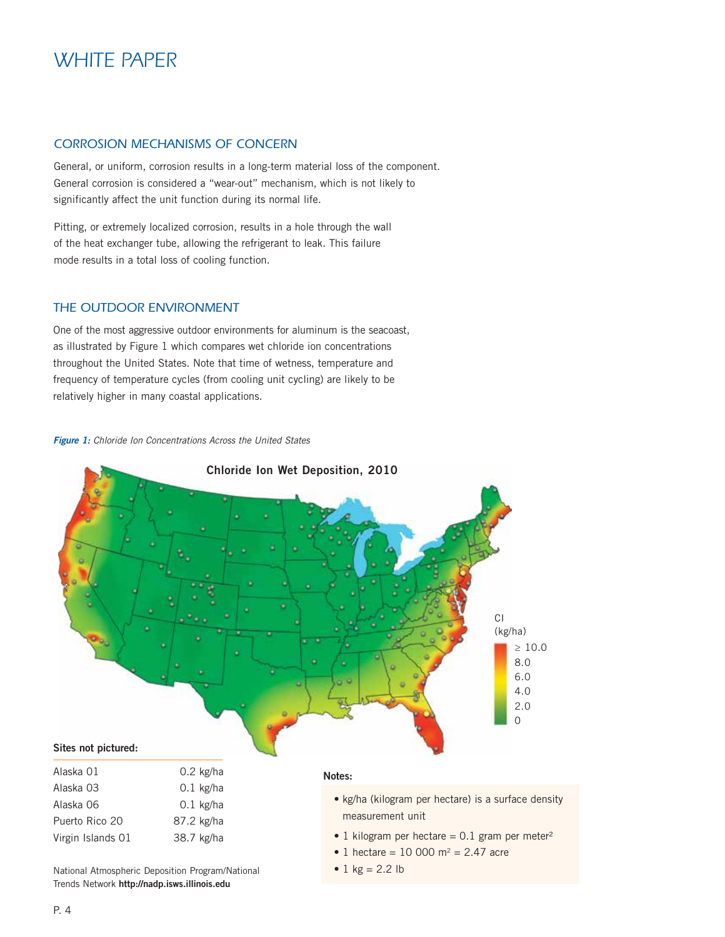# *White Paper*

## *Corrosion Mechanisms of Concern*

General, or uniform, corrosion results in a long-term material loss of the component. General corrosion is considered a "wear-out" mechanism, which is not likely to significantly affect the unit function during its normal life.

Pitting, or extremely localized corrosion, results in a hole through the wall of the heat exchanger tube, allowing the refrigerant to leak. This failure mode results in a total loss of cooling function.

#### *The Outdoor Environment*

One of the most aggressive outdoor environments for aluminum is the seacoast, as illustrated by Figure 1 which compares wet chloride ion concentrations throughout the United States. Note that time of wetness, temperature and frequency of temperature cycles (from cooling unit cycling) are likely to be relatively higher in many coastal applications.

#### *Figure 1: Chloride Ion Concentrations Across the United States*



National Atmospheric Deposition Program/National Trends Network http://nadp.isws.illinois.edu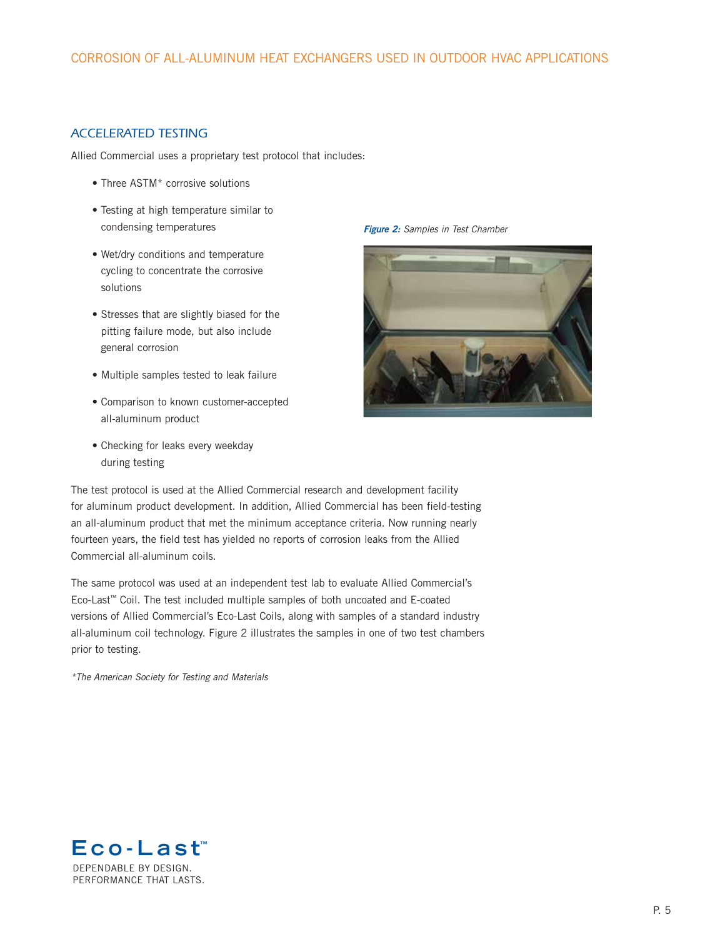## *Accelerated Testing*

Allied Commercial uses a proprietary test protocol that includes:

- Three ASTM<sup>\*</sup> corrosive solutions
- Testing at high temperature similar to condensing temperatures
- Wet/dry conditions and temperature cycling to concentrate the corrosive solutions
- Stresses that are slightly biased for the pitting failure mode, but also include general corrosion
- Multiple samples tested to leak failure
- Comparison to known customer-accepted all-aluminum product
- Checking for leaks every weekday during testing





The test protocol is used at the Allied Commercial research and development facility for aluminum product development. In addition, Allied Commercial has been field-testing an all-aluminum product that met the minimum acceptance criteria. Now running nearly fourteen years, the field test has yielded no reports of corrosion leaks from the Allied Commercial all-aluminum coils.

The same protocol was used at an independent test lab to evaluate Allied Commercial's Eco-Last™ Coil. The test included multiple samples of both uncoated and E-coated versions of Allied Commercial's Eco-Last Coils, along with samples of a standard industry all-aluminum coil technology. Figure 2 illustrates the samples in one of two test chambers prior to testing.

*\*The American Society for Testing and Materials*

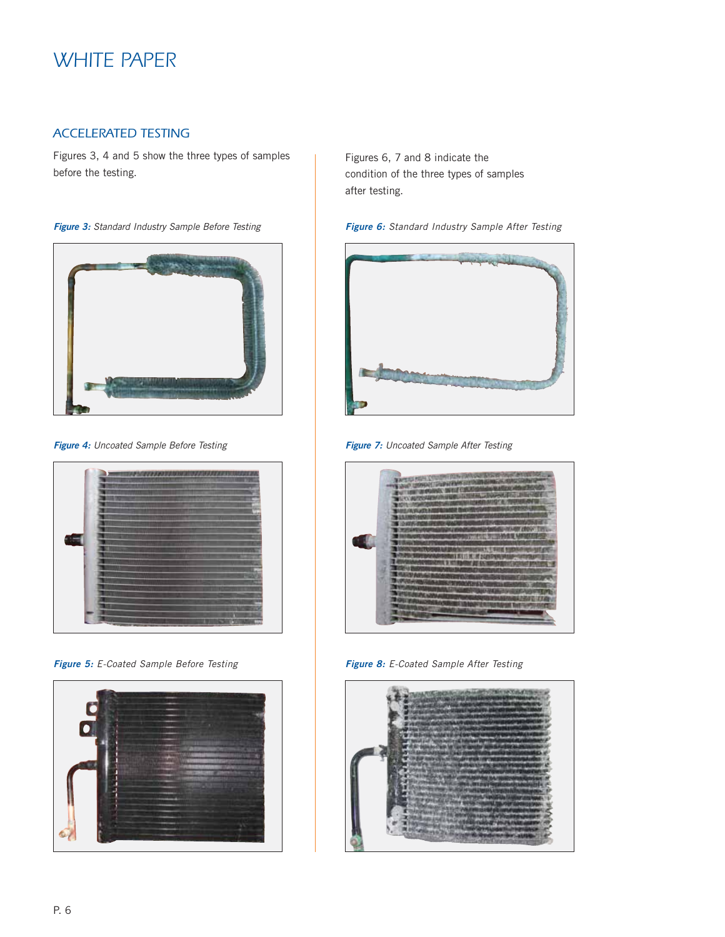# *White Paper*

## *Accelerated Testing*

Figures 3, 4 and 5 show the three types of samples before the testing.

*Figure 3: Standard Industry Sample Before Testing*



*Figure 4: Uncoated Sample Before Testing*



*Figure 5: E-Coated Sample Before Testing*



Figures 6, 7 and 8 indicate the condition of the three types of samples after testing.





*Figure 7: Uncoated Sample After Testing*



*Figure 8: E-Coated Sample After Testing*

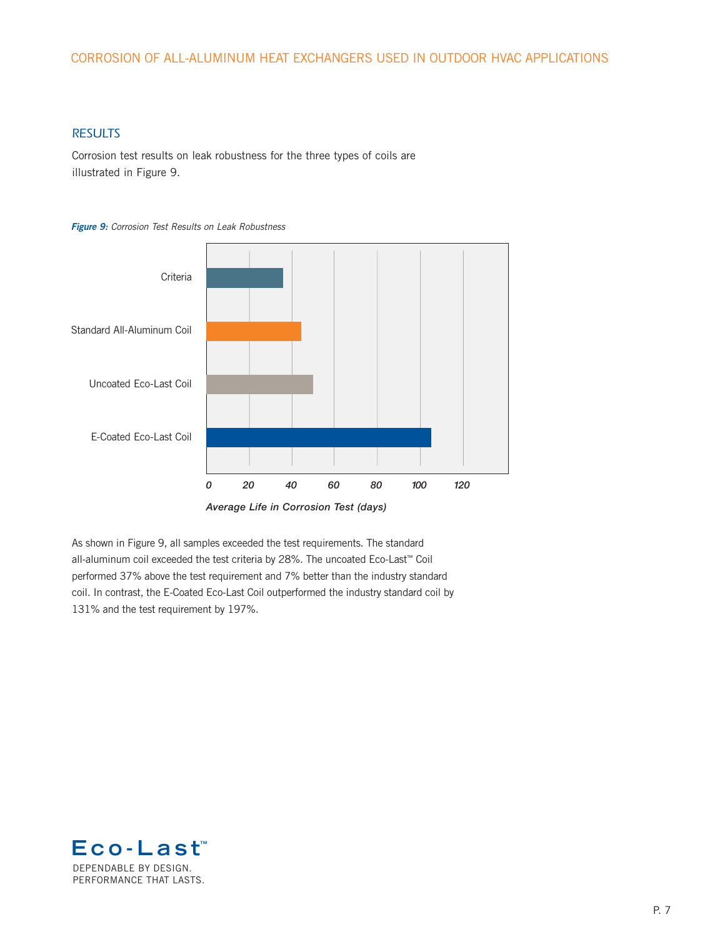## CORROSION OF ALL-ALUMINUM HEAT EXCHANGERS USED IN OUTDOOR HVAC APPLICATIONS

## *RESULTS*

Corrosion test results on leak robustness for the three types of coils are illustrated in Figure 9.

#### *Figure 9: Corrosion Test Results on Leak Robustness*



As shown in Figure 9, all samples exceeded the test requirements. The standard all-aluminum coil exceeded the test criteria by 28%. The uncoated Eco-Last™ Coil performed 37% above the test requirement and 7% better than the industry standard coil. In contrast, the E-Coated Eco-Last Coil outperformed the industry standard coil by 131% and the test requirement by 197%.